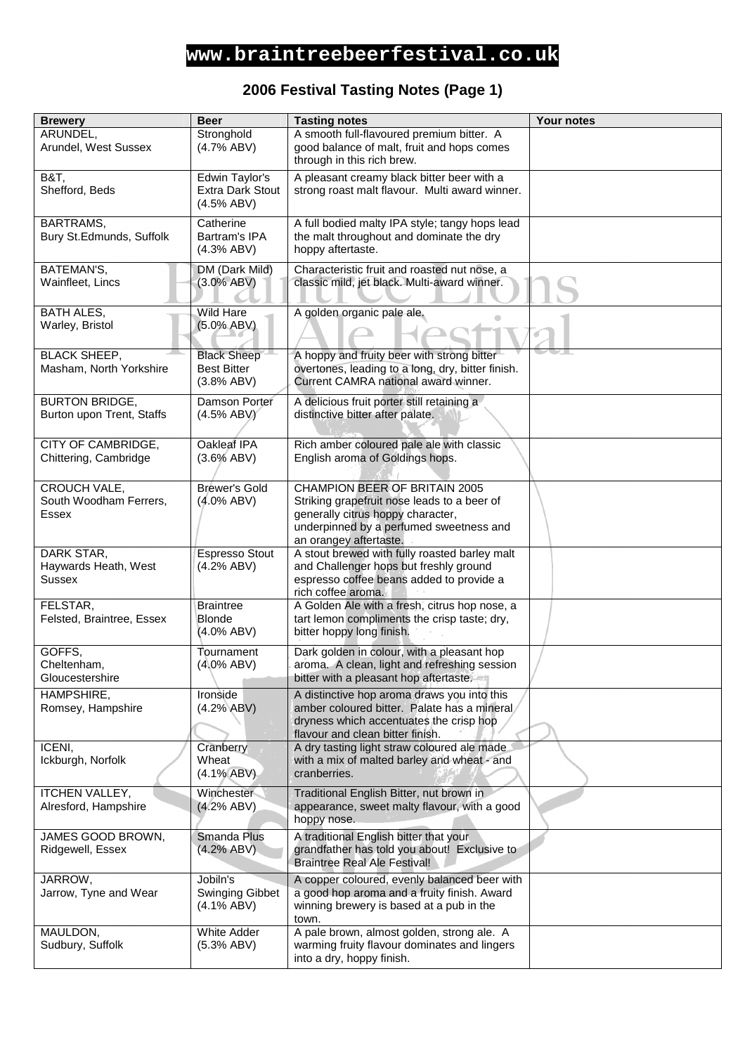# **www.braintreebeerfestival.co.uk**

### **2006 Festival Tasting Notes (Page 1)**

| <b>Brewery</b>            | <b>Beer</b>             | <b>Tasting notes</b>                              | <b>Your notes</b> |
|---------------------------|-------------------------|---------------------------------------------------|-------------------|
| ARUNDEL,                  | Stronghold              | A smooth full-flavoured premium bitter. A         |                   |
| Arundel, West Sussex      |                         |                                                   |                   |
|                           | (4.7% ABV)              | good balance of malt, fruit and hops comes        |                   |
|                           |                         | through in this rich brew.                        |                   |
| B&T,                      | Edwin Taylor's          | A pleasant creamy black bitter beer with a        |                   |
| Shefford, Beds            | <b>Extra Dark Stout</b> | strong roast malt flavour. Multi award winner.    |                   |
|                           | (4.5% ABV)              |                                                   |                   |
|                           |                         |                                                   |                   |
| BARTRAMS,                 | Catherine               | A full bodied malty IPA style; tangy hops lead    |                   |
| Bury St.Edmunds, Suffolk  | Bartram's IPA           | the malt throughout and dominate the dry          |                   |
|                           | (4.3% ABV)              | hoppy aftertaste.                                 |                   |
| BATEMAN'S,                | DM (Dark Mild)          | Characteristic fruit and roasted nut nose, a      |                   |
| Wainfleet, Lincs          | $(3.0\% ABV)$           | classic mild, jet black. Multi-award winner.      |                   |
|                           |                         |                                                   |                   |
|                           |                         |                                                   |                   |
| <b>BATH ALES,</b>         | <b>Wild Hare</b>        | A golden organic pale ale.                        |                   |
| Warley, Bristol           | $(5.0\% ABV)$           |                                                   |                   |
|                           |                         |                                                   |                   |
| <b>BLACK SHEEP,</b>       | <b>Black Sheep</b>      | A hoppy and fruity beer with strong bitter        |                   |
| Masham, North Yorkshire   | <b>Best Bitter</b>      | overtones, leading to a long, dry, bitter finish. |                   |
|                           | (3.8% ABV)              | Current CAMRA national award winner.              |                   |
|                           |                         |                                                   |                   |
| <b>BURTON BRIDGE,</b>     | Damson Porter           | A delicious fruit porter still retaining a        |                   |
| Burton upon Trent, Staffs | (4.5% ABV)              | distinctive bitter after palate.                  |                   |
|                           |                         |                                                   |                   |
| CITY OF CAMBRIDGE,        | Oakleaf IPA             | Rich amber coloured pale ale with classic         |                   |
| Chittering, Cambridge     | (3.6% ABV)              | English aroma of Goldings hops.                   |                   |
|                           |                         |                                                   |                   |
| CROUCH VALE,              | <b>Brewer's Gold</b>    | CHAMPION BEER OF BRITAIN 2005                     |                   |
| South Woodham Ferrers,    | $(4.0\%$ ABV)           | Striking grapefruit nose leads to a beer of       |                   |
| Essex                     |                         | generally citrus hoppy character,                 |                   |
|                           |                         | underpinned by a perfumed sweetness and           |                   |
|                           |                         | an orangey aftertaste.                            |                   |
| DARK STAR,                | <b>Espresso Stout</b>   | A stout brewed with fully roasted barley malt     |                   |
| Haywards Heath, West      | (4.2% ABV)              | and Challenger hops but freshly ground            |                   |
| Sussex                    |                         | espresso coffee beans added to provide a          |                   |
|                           |                         | rich coffee aroma.                                |                   |
| FELSTAR,                  | <b>Braintree</b>        | A Golden Ale with a fresh, citrus hop nose, a     |                   |
| Felsted, Braintree, Essex | Blonde                  | tart lemon compliments the crisp taste; dry,      |                   |
|                           | (4.0% ABV)              | bitter hoppy long finish.                         |                   |
|                           |                         |                                                   |                   |
| GOFFS,                    | Tournament              | Dark golden in colour, with a pleasant hop        |                   |
| Cheltenham,               | $(4.0\%$ ABV)           | aroma. A clean, light and refreshing session      |                   |
| Gloucestershire           |                         | bitter with a pleasant hop aftertaste.            |                   |
| HAMPSHIRE,                | Ironside                | A distinctive hop aroma draws you into this       |                   |
| Romsey, Hampshire         | (4.2% ABV)              | amber coloured bitter. Palate has a mineral       |                   |
|                           |                         | dryness which accentuates the crisp hop           |                   |
|                           |                         | flavour and clean bitter finish.                  |                   |
| ICENI,                    | Cranberry               | A dry tasting light straw coloured ale made       |                   |
| Ickburgh, Norfolk         | Wheat                   | with a mix of malted barley and wheat - and       |                   |
|                           | $(4.1\% ABV)$           | cranberries.                                      |                   |
|                           |                         |                                                   |                   |
| <b>ITCHEN VALLEY,</b>     | Winchester              | Traditional English Bitter, nut brown in          |                   |
| Alresford, Hampshire      | (4.2% ABV)              | appearance, sweet malty flavour, with a good      |                   |
|                           |                         | hoppy nose.                                       |                   |
| JAMES GOOD BROWN,         | Smanda Plus             | A traditional English bitter that your            |                   |
| Ridgewell, Essex          | (4.2% ABV)              | grandfather has told you about! Exclusive to      |                   |
|                           |                         | <b>Braintree Real Ale Festival!</b>               |                   |
| JARROW,                   | Jobiln's                | A copper coloured, evenly balanced beer with      |                   |
| Jarrow, Tyne and Wear     | Swinging Gibbet         | a good hop aroma and a fruity finish. Award       |                   |
|                           | $(4.1\% ABV)$           | winning brewery is based at a pub in the          |                   |
|                           |                         | town.                                             |                   |
| MAULDON,                  | <b>White Adder</b>      | A pale brown, almost golden, strong ale. A        |                   |
| Sudbury, Suffolk          | (5.3% ABV)              | warming fruity flavour dominates and lingers      |                   |
|                           |                         | into a dry, hoppy finish.                         |                   |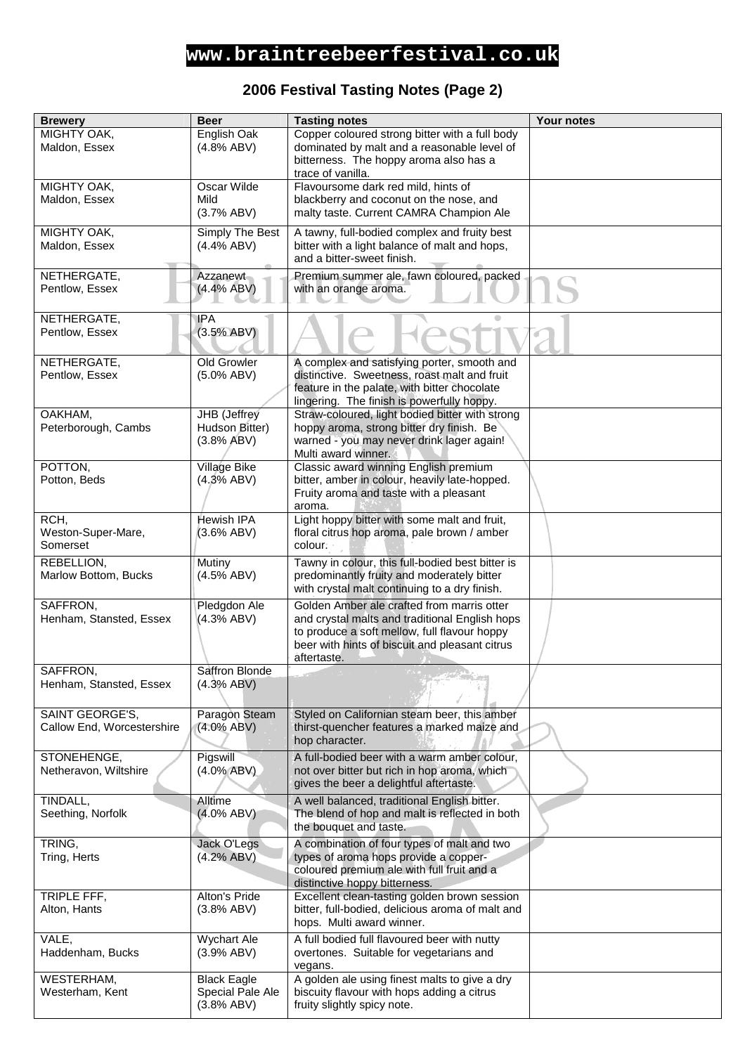## **www.braintreebeerfestival.co.uk**

### **2006 Festival Tasting Notes (Page 2)**

| <b>Brewery</b>                | <b>Beer</b>                 | <b>Tasting notes</b>                                                                             | <b>Your notes</b> |
|-------------------------------|-----------------------------|--------------------------------------------------------------------------------------------------|-------------------|
| MIGHTY OAK,                   | English Oak                 | Copper coloured strong bitter with a full body                                                   |                   |
| Maldon, Essex                 | (4.8% ABV)                  | dominated by malt and a reasonable level of                                                      |                   |
|                               |                             | bitterness. The hoppy aroma also has a                                                           |                   |
|                               |                             | trace of vanilla.                                                                                |                   |
| MIGHTY OAK,                   | Oscar Wilde                 | Flavoursome dark red mild, hints of                                                              |                   |
| Maldon, Essex                 | Mild<br>(3.7% ABV)          | blackberry and coconut on the nose, and<br>malty taste. Current CAMRA Champion Ale               |                   |
|                               |                             |                                                                                                  |                   |
| MIGHTY OAK,                   | Simply The Best             | A tawny, full-bodied complex and fruity best                                                     |                   |
| Maldon, Essex                 | (4.4% ABV)                  | bitter with a light balance of malt and hops,                                                    |                   |
|                               |                             | and a bitter-sweet finish.                                                                       |                   |
| NETHERGATE,                   | Azzanewt                    | Premium summer ale, fawn coloured, packed                                                        |                   |
| Pentlow, Essex                | (4.4% ABV)                  | with an orange aroma.                                                                            |                   |
|                               |                             |                                                                                                  |                   |
| NETHERGATE,                   | <b>IPA</b>                  |                                                                                                  |                   |
| Pentlow, Essex                | (3.5% ABV)                  |                                                                                                  |                   |
|                               |                             |                                                                                                  |                   |
| NETHERGATE,<br>Pentlow, Essex | Old Growler                 | A complex and satisfying porter, smooth and                                                      |                   |
|                               | $(5.0\%$ ABV)               | distinctive. Sweetness, roast malt and fruit<br>feature in the palate, with bitter chocolate     |                   |
|                               |                             | lingering. The finish is powerfully hoppy.                                                       |                   |
| OAKHAM,                       | JHB (Jeffrey                | Straw-coloured, light bodied bitter with strong                                                  |                   |
| Peterborough, Cambs           | Hudson Bitter)              | hoppy aroma, strong bitter dry finish. Be                                                        |                   |
|                               | (3.8% ABV)                  | warned - you may never drink lager again!                                                        |                   |
|                               |                             | Multi award winner.                                                                              |                   |
| POTTON,                       | Village Bike                | Classic award winning English premium                                                            |                   |
| Potton, Beds                  | (4.3% ABV)                  | bitter, amber in colour, heavily late-hopped.                                                    |                   |
|                               |                             | Fruity aroma and taste with a pleasant<br>aroma.                                                 |                   |
| RCH,                          | Hewish IPA                  | Light hoppy bitter with some malt and fruit,                                                     |                   |
| Weston-Super-Mare,            | (3.6% ABV)                  | floral citrus hop aroma, pale brown / amber                                                      |                   |
| Somerset                      |                             | colour:                                                                                          |                   |
| REBELLION,                    | Mutiny                      | Tawny in colour, this full-bodied best bitter is                                                 |                   |
| Marlow Bottom, Bucks          | (4.5% ABV)                  | predominantly fruity and moderately bitter                                                       |                   |
|                               |                             | with crystal malt continuing to a dry finish.                                                    |                   |
| SAFFRON,                      | Pledgdon Ale                | Golden Amber ale crafted from marris otter                                                       |                   |
| Henham, Stansted, Essex       | (4.3% ABV)                  | and crystal malts and traditional English hops                                                   |                   |
|                               |                             | to produce a soft mellow, full flavour hoppy                                                     |                   |
|                               |                             | beer with hints of biscuit and pleasant citrus                                                   |                   |
| SAFFRON,                      | Saffron Blonde              | aftertaste.                                                                                      |                   |
| Henham, Stansted, Essex       | (4.3% ABV)                  |                                                                                                  |                   |
|                               |                             |                                                                                                  |                   |
| SAINT GEORGE'S,               | Paragon Steam               | Styled on Californian steam beer, this amber                                                     |                   |
| Callow End, Worcestershire    | $(4.0\%$ ABV)               | thirst-quencher features a marked maize and                                                      |                   |
|                               |                             | hop character.                                                                                   |                   |
| STONEHENGE,                   | Pigswill                    | A full-bodied beer with a warm amber colour,                                                     |                   |
| Netheravon, Wiltshire         | $(4.0\%$ ABV)               | not over bitter but rich in hop aroma, which                                                     |                   |
|                               |                             | gives the beer a delightful aftertaste.                                                          |                   |
| TINDALL,                      | Alltime                     | A well balanced, traditional English bitter.                                                     |                   |
| Seething, Norfolk             | $(4.0\%$ ABV)               | The blend of hop and malt is reflected in both                                                   |                   |
|                               |                             | the bouquet and taste.                                                                           |                   |
| TRING,                        | Jack O'Legs                 | A combination of four types of malt and two                                                      |                   |
| Tring, Herts                  | (4.2% ABV)                  | types of aroma hops provide a copper-                                                            |                   |
|                               |                             | coloured premium ale with full fruit and a                                                       |                   |
|                               |                             | distinctive hoppy bitterness.                                                                    |                   |
| TRIPLE FFF,<br>Alton, Hants   | Alton's Pride<br>(3.8% ABV) | Excellent clean-tasting golden brown session<br>bitter, full-bodied, delicious aroma of malt and |                   |
|                               |                             | hops. Multi award winner.                                                                        |                   |
| VALE,                         | <b>Wychart Ale</b>          | A full bodied full flavoured beer with nutty                                                     |                   |
| Haddenham, Bucks              | (3.9% ABV)                  | overtones. Suitable for vegetarians and                                                          |                   |
|                               |                             | vegans.                                                                                          |                   |
| WESTERHAM,                    | <b>Black Eagle</b>          | A golden ale using finest malts to give a dry                                                    |                   |
| Westerham, Kent               | Special Pale Ale            | biscuity flavour with hops adding a citrus                                                       |                   |
|                               | (3.8% ABV)                  | fruity slightly spicy note.                                                                      |                   |